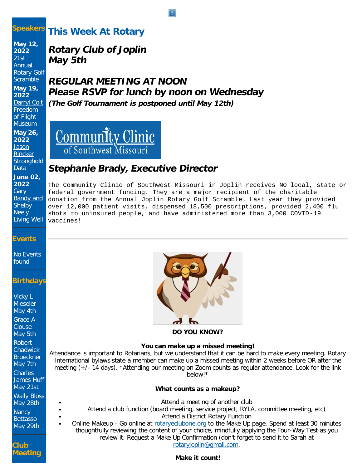## **Speakers**

# **This Week At Rotary**

**May 12, 2022**  $21st$ Annual Rotary Golf **Scramble May 19, 2022** [Darryl Colt](https://ismyrotaryclub.com/wp_api_prod_1-1/R_Event.cfm?fixTables=0&fixImages=0&EventID=77547017) Freedom of Flight Museum

**May 26, 2022** [Jason](https://ismyrotaryclub.com/wp_api_prod_1-1/R_Event.cfm?fixTables=0&fixImages=0&EventID=77547018) **[Rincker](https://ismyrotaryclub.com/wp_api_prod_1-1/R_Event.cfm?fixTables=0&fixImages=0&EventID=77547018) Stronghold** Data **June 02, 2022 [Gary](https://ismyrotaryclub.com/wp_api_prod_1-1/R_Event.cfm?fixTables=0&fixImages=0&EventID=77547019)** [Bandy and](https://ismyrotaryclub.com/wp_api_prod_1-1/R_Event.cfm?fixTables=0&fixImages=0&EventID=77547019) **[Shelby](https://ismyrotaryclub.com/wp_api_prod_1-1/R_Event.cfm?fixTables=0&fixImages=0&EventID=77547019) [Neely](https://ismyrotaryclub.com/wp_api_prod_1-1/R_Event.cfm?fixTables=0&fixImages=0&EventID=77547019)** Living Well

# **Rotary Club of Joplin May 5th**

# **REGULAR MEETING AT NOON Please RSVP for lunch by noon on Wednesday (The Golf Tournament is postponed until May 12th)**



# **Stephanie Brady, Executive Director**

The Community Clinic of Southwest Missouri in Joplin receives NO local, state or federal government funding. They are a major recipient of the charitable donation from the Annual Joplin Rotary Golf Scramble. Last year they provided over 12,000 patient visits, dispensed 18,500 prescriptions, provided 2,400 flu shots to uninsured people, and have administered more than 3,000 COVID-19 vaccines!

## **Events**

No Events found

## **Birthdays**

Vicky L Mieseler May 4th Grace A **Clouse** May 5th Robert **Chadwick** Brueckner May 7th Charles James Huff May 21st Wally Bloss May 28th **Nancy** Bettasso May 29th

**Club Meeting**



### **You can make up a missed meeting!**

Attendance is important to Rotarians, but we understand that it can be hard to make every meeting. Rotary International bylaws state a member can make up a missed meeting within 2 weeks before OR after the meeting (+/- 14 days). \*Attending our meeting on Zoom counts as regular attendance. Look for the link below!\*

### **What counts as a makeup?**

- Attend a meeting of another club
- Attend a club function (board meeting, service project, RYLA, committee meeting, etc) Attend a District Rotary Function
- Online Makeup Go online at [rotaryeclubone.org](http://rotaryeclubone.org/) to the Make Up page. Spend at least 30 minutes thoughtfully reviewing the content of your choice, mindfully applying the Four-Way Test as you review it. Request a Make Up Confirmation (don't forget to send it to Sarah at [rotaryjoplin@gmail.com](http://rotaryjoplin@gmail.com/).

## **Make it count!**

### $|2|$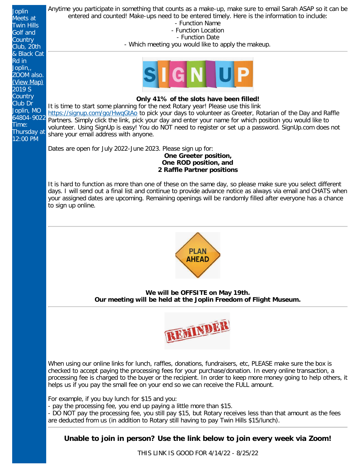Anytime you participate in something that counts as a make-up, make sure to email Sarah ASAP so it can be Joplin entered and counted! Make-ups need to be entered timely. Here is the information to include: Meets at - Function Name Twin Hills - Function Location Golf and - Function Date **Country** - Which meeting you would like to apply the makeup. Club, 20th & Black Cat Rd in Joplin,, ZOOM also. [\(View Map\)](http://maps.google.com/maps?q=37.070170000,-94.567530000) [2019 S](http://maps.google.com/maps?q=37.070170000,-94.567530000) **[Country](http://maps.google.com/maps?q=37.070170000,-94.567530000) Only 41% of the slots have been filled!** [Club Dr](http://maps.google.com/maps?q=37.070170000,-94.567530000) It is time to start some planning for the next Rotary year! Please use this link [Joplin, MO](http://maps.google.com/maps?q=37.070170000,-94.567530000) https://signup.com/go/HwgGtAo to pick your days to volunteer as Greeter, Rotarian of the Day and Raffle [64804-9022](http://maps.google.com/maps?q=37.070170000,-94.567530000) Partners. Simply click the link, pick your day and enter your name for which position you would like to Time: volunteer. Using SignUp is easy! You do NOT need to register or set up a password. SignUp.com does not Thursday at share your email address with anyone. 12:00 PM Dates are open for July 2022-June 2023. Please sign up for: **One Greeter position, One ROD position, and 2 Raffle Partner positions** It is hard to function as more than one of these on the same day, so please make sure you select different days. I will send out a final list and continue to provide advance notice as always via email and CHATS when your assigned dates are upcoming. Remaining openings will be randomly filled after everyone has a chance to sign up online. **PLAN AHEAD We will be OFFSITE on May 19th. Our meeting will be held at the Joplin Freedom of Flight Museum.** REMINDE When using our online links for lunch, raffles, donations, fundraisers, etc, PLEASE make sure the box is checked to accept paying the processing fees for your purchase/donation. In every online transaction, a processing fee is charged to the buyer or the recipient. In order to keep more money going to help others, it helps us if you pay the small fee on your end so we can receive the FULL amount. For example, if you buy lunch for \$15 and you: - pay the processing fee, you end up paying a little more than \$15. - DO NOT pay the processing fee, you still pay \$15, but Rotary receives less than that amount as the fees are deducted from us (in addition to Rotary still having to pay Twin Hills \$15/lunch).

# **Unable to join in person? Use the link below to join every week via Zoom!**

THIS LINK IS GOOD FOR 4/14/22 - 8/25/22